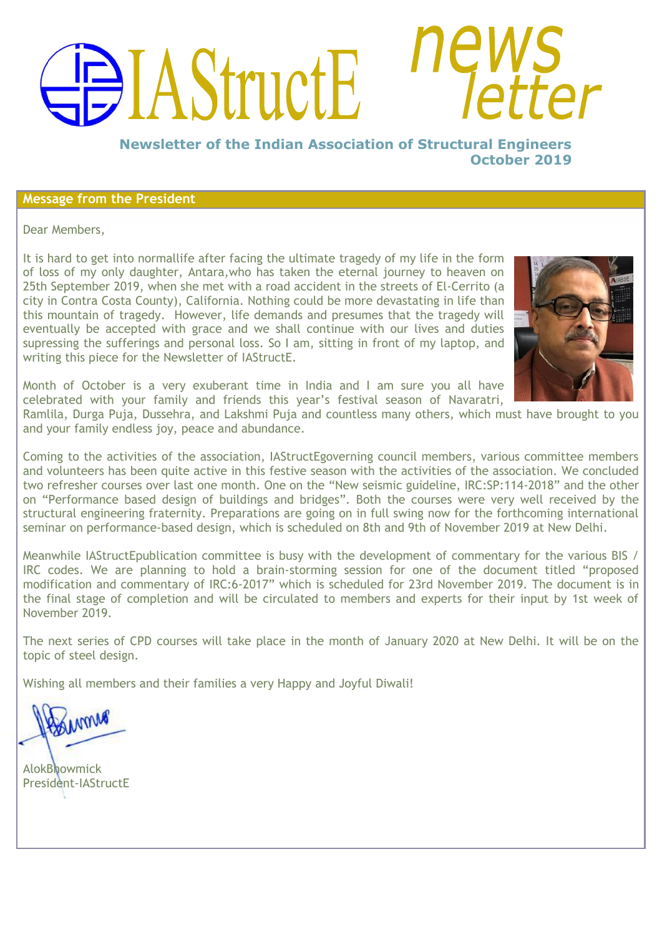# AStructE

**Newsletter of the Indian Association of Structural Engineers October 2019**

# **Message from the President**

Dear Members,

It is hard to get into normallife after facing the ultimate tragedy of my life in the form of loss of my only daughter, Antara,who has taken the eternal journey to heaven on 25th September 2019, when she met with a road accident in the streets of El-Cerrito (a city in Contra Costa County), California. Nothing could be more devastating in life than this mountain of tragedy. However, life demands and presumes that the tragedy will eventually be accepted with grace and we shall continue with our lives and duties supressing the sufferings and personal loss. So I am, sitting in front of my laptop, and writing this piece for the Newsletter of IAStructE.



Month of October is a very exuberant time in India and I am sure you all have celebrated with your family and friends this year"s festival season of Navaratri,

Ramlila, Durga Puja, Dussehra, and Lakshmi Puja and countless many others, which must have brought to you and your family endless joy, peace and abundance.

Coming to the activities of the association, IAStructEgoverning council members, various committee members and volunteers has been quite active in this festive season with the activities of the association. We concluded two refresher courses over last one month. One on the "New seismic guideline, IRC:SP:114-2018" and the other on "Performance based design of buildings and bridges". Both the courses were very well received by the structural engineering fraternity. Preparations are going on in full swing now for the forthcoming international seminar on performance-based design, which is scheduled on 8th and 9th of November 2019 at New Delhi.

Meanwhile IAStructEpublication committee is busy with the development of commentary for the various BIS / IRC codes. We are planning to hold a brain-storming session for one of the document titled "proposed modification and commentary of IRC:6-2017" which is scheduled for 23rd November 2019. The document is in the final stage of completion and will be circulated to members and experts for their input by 1st week of November 2019.

The next series of CPD courses will take place in the month of January 2020 at New Delhi. It will be on the topic of steel design.

Wishing all members and their families a very Happy and Joyful Diwali!

wome

AlokBhowmick President-IAStructE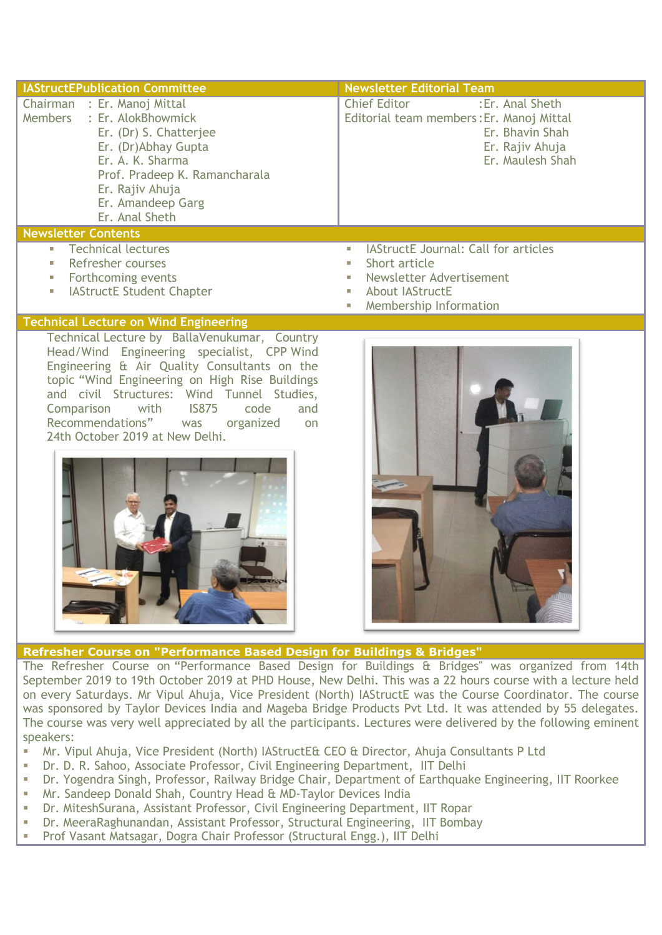| <b>IAStructEPublication Committee</b>                                                                                                                                                                                     | <b>Newsletter Editorial Team</b>                                                                                                                                      |
|---------------------------------------------------------------------------------------------------------------------------------------------------------------------------------------------------------------------------|-----------------------------------------------------------------------------------------------------------------------------------------------------------------------|
| Chairman : Er. Manoj Mittal<br>Members : Er. AlokBhowmick<br>Er. (Dr) S. Chatterjee<br>Er. (Dr)Abhay Gupta<br>Er. A. K. Sharma<br>Prof. Pradeep K. Ramancharala<br>Er. Rajiv Ahuja<br>Er. Amandeep Garg<br>Er. Anal Sheth | <b>Chief Editor</b><br>: Er. Anal Sheth<br>Editorial team members: Er. Manoj Mittal<br>Er. Bhavin Shah<br>Er. Rajiv Ahuja<br>Er. Maulesh Shah                         |
| <b>Newsletter Contents</b>                                                                                                                                                                                                |                                                                                                                                                                       |
| <b>Technical lectures</b><br>$\mathbb{R}^n$<br>Refresher courses<br>Forthcoming events<br>П<br><b>IAStructE Student Chapter</b><br>ш                                                                                      | <b>IAStructE</b> Journal: Call for articles<br>ш<br>Short article<br>ш<br>Newsletter Advertisement<br>ш<br><b>About IAStructE</b><br>ш<br>Membership Information<br>Ш |
| <b>Technical Lecture on Wind Engineering</b>                                                                                                                                                                              |                                                                                                                                                                       |
| Technical Lecture by BallaVenukumar, Country<br>Head/Wind Engineering specialist, CPP Wind                                                                                                                                |                                                                                                                                                                       |

Engineering & Air Quality Consultants on the topic "Wind Engineering on High Rise Buildings and civil Structures: Wind Tunnel Studies, Comparison with IS875 code and Recommendations" was organized on 24th October 2019 at New Delhi.





# **Refresher Course on "Performance Based Design for Buildings & Bridges"**

The Refresher Course on "Performance Based Design for Buildings & Bridges" was organized from 14th September 2019 to 19th October 2019 at PHD House, New Delhi. This was a 22 hours course with a lecture held on every Saturdays. Mr Vipul Ahuja, Vice President (North) IAStructE was the Course Coordinator. The course was sponsored by Taylor Devices India and Mageba Bridge Products Pvt Ltd. It was attended by 55 delegates. The course was very well appreciated by all the participants. Lectures were delivered by the following eminent speakers:

- Mr. Vipul Ahuja, Vice President (North) IAStructE& CEO & Director, Ahuja Consultants P Ltd
- Dr. D. R. Sahoo, Associate Professor, Civil Engineering Department, IIT Delhi
- Dr. Yogendra Singh, Professor, Railway Bridge Chair, Department of Earthquake Engineering, IIT Roorkee
- Mr. Sandeep Donald Shah, Country Head & MD-Taylor Devices India
- Dr. MiteshSurana, Assistant Professor, Civil Engineering Department, IIT Ropar
- Dr. MeeraRaghunandan, Assistant Professor, Structural Engineering, IIT Bombay
- Prof Vasant Matsagar, Dogra Chair Professor (Structural Engg.), IIT Delhi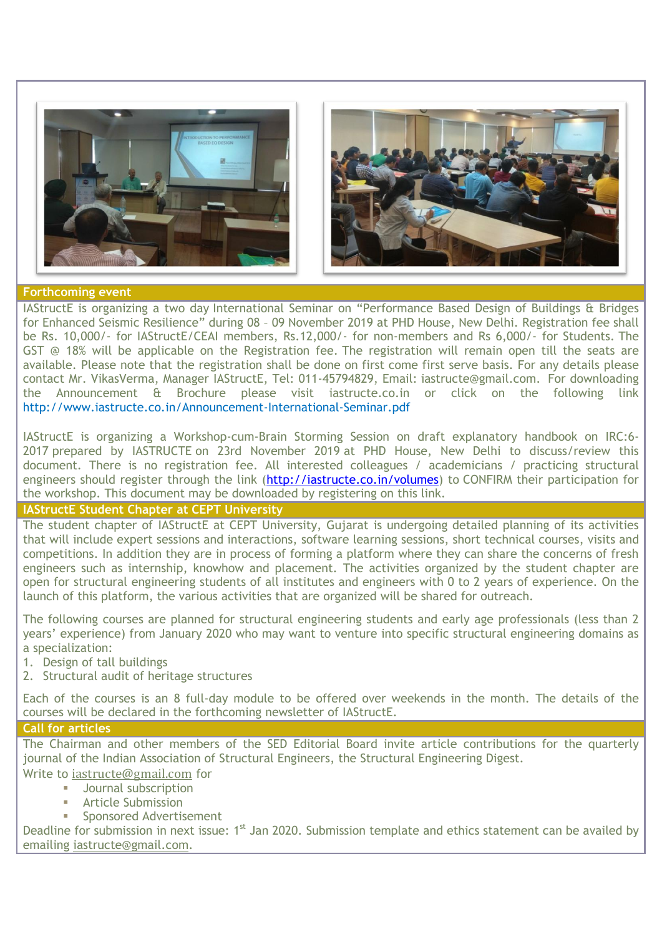



### **Forthcoming event**

IAStructE is organizing a two day International Seminar on "Performance Based Design of Buildings & Bridges for Enhanced Seismic Resilience" during 08 – 09 November 2019 at PHD House, New Delhi. Registration fee shall be Rs. 10,000/- for IAStructE/CEAI members, Rs.12,000/- for non-members and Rs 6,000/- for Students. The GST @ 18% will be applicable on the Registration fee. The registration will remain open till the seats are available. Please note that the registration shall be done on first come first serve basis. For any details please contact Mr. VikasVerma, Manager IAStructE, Tel: 011-45794829, Email: [iastructe@gmail.com.](mailto:iastructe@gmail.com) For downloading the Announcement & Brochure please visit iastructe.co.in or click on the following link <http://www.iastructe.co.in/Announcement-International-Seminar.pdf>

IAStructE is organizing a Workshop-cum-Brain Storming Session on draft explanatory handbook on IRC:6- 2017 prepared by IASTRUCTE on 23rd November 2019 at PHD House, New Delhi to discuss/review this document. There is no registration fee. All interested colleagues / academicians / practicing structural engineers should register through the link [\(http://iastructe.co.in/volumes\)](http://iastructe.co.in/volumes) to CONFIRM their participation for the workshop. This document may be downloaded by registering on this link.

# **IAStructE Student Chapter at CEPT University**

The student chapter of IAStructE at CEPT University, Gujarat is undergoing detailed planning of its activities that will include expert sessions and interactions, software learning sessions, short technical courses, visits and competitions. In addition they are in process of forming a platform where they can share the concerns of fresh engineers such as internship, knowhow and placement. The activities organized by the student chapter are open for structural engineering students of all institutes and engineers with 0 to 2 years of experience. On the launch of this platform, the various activities that are organized will be shared for outreach.

The following courses are planned for structural engineering students and early age professionals (less than 2 years" experience) from January 2020 who may want to venture into specific structural engineering domains as a specialization:

- 1. Design of tall buildings
- 2. Structural audit of heritage structures

Each of the courses is an 8 full-day module to be offered over weekends in the month. The details of the courses will be declared in the forthcoming newsletter of IAStructE.

# **Call for articles**

The Chairman and other members of the SED Editorial Board invite article contributions for the quarterly journal of the Indian Association of Structural Engineers, the Structural Engineering Digest.

Write to [iastructe@gmail.com](mailto:iastructe@gmail.com) for

- Journal subscription
- Article Submission
- Sponsored Advertisement

Deadline for submission in next issue: 1<sup>st</sup> Jan 2020. Submission template and ethics statement can be availed by emailing [iastructe@gmail.com.](mailto:iastructe@gmail.com)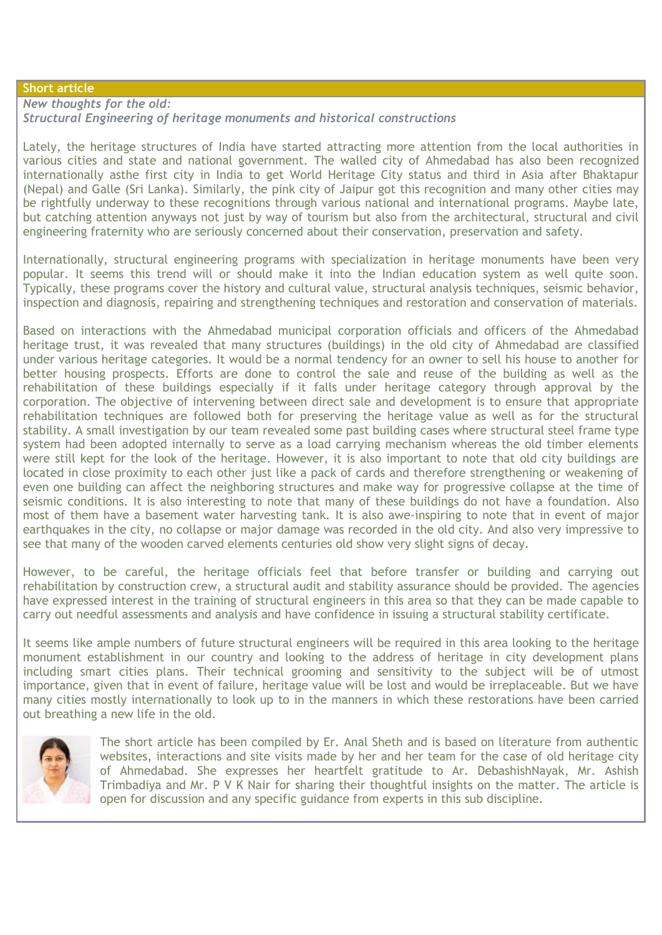# **Short article**

*New thoughts for the old: Structural Engineering of heritage monuments and historical constructions*

Lately, the heritage structures of India have started attracting more attention from the local authorities in various cities and state and national government. The walled city of Ahmedabad has also been recognized internationally asthe first city in India to get World Heritage City status and third in Asia after Bhaktapur (Nepal) and Galle (Sri Lanka). Similarly, the pink city of Jaipur got this recognition and many other cities may be rightfully underway to these recognitions through various national and international programs. Maybe late, but catching attention anyways not just by way of tourism but also from the architectural, structural and civil engineering fraternity who are seriously concerned about their conservation, preservation and safety.

Internationally, structural engineering programs with specialization in heritage monuments have been very popular. It seems this trend will or should make it into the Indian education system as well quite soon. Typically, these programs cover the history and cultural value, structural analysis techniques, seismic behavior, inspection and diagnosis, repairing and strengthening techniques and restoration and conservation of materials.

Based on interactions with the Ahmedabad municipal corporation officials and officers of the Ahmedabad heritage trust, it was revealed that many structures (buildings) in the old city of Ahmedabad are classified under various heritage categories. It would be a normal tendency for an owner to sell his house to another for better housing prospects. Efforts are done to control the sale and reuse of the building as well as the rehabilitation of these buildings especially if it falls under heritage category through approval by the corporation. The objective of intervening between direct sale and development is to ensure that appropriate rehabilitation techniques are followed both for preserving the heritage value as well as for the structural stability. A small investigation by our team revealed some past building cases where structural steel frame type system had been adopted internally to serve as a load carrying mechanism whereas the old timber elements were still kept for the look of the heritage. However, it is also important to note that old city buildings are located in close proximity to each other just like a pack of cards and therefore strengthening or weakening of even one building can affect the neighboring structures and make way for progressive collapse at the time of seismic conditions. It is also interesting to note that many of these buildings do not have a foundation. Also most of them have a basement water harvesting tank. It is also awe-inspiring to note that in event of major earthquakes in the city, no collapse or major damage was recorded in the old city. And also very impressive to see that many of the wooden carved elements centuries old show very slight signs of decay.

However, to be careful, the heritage officials feel that before transfer or building and carrying out rehabilitation by construction crew, a structural audit and stability assurance should be provided. The agencies have expressed interest in the training of structural engineers in this area so that they can be made capable to carry out needful assessments and analysis and have confidence in issuing a structural stability certificate.

It seems like ample numbers of future structural engineers will be required in this area looking to the heritage monument establishment in our country and looking to the address of heritage in city development plans including smart cities plans. Their technical grooming and sensitivity to the subject will be of utmost importance, given that in event of failure, heritage value will be lost and would be irreplaceable. But we have many cities mostly internationally to look up to in the manners in which these restorations have been carried out breathing a new life in the old.



The short article has been compiled by Er. Anal Sheth and is based on literature from authentic websites, interactions and site visits made by her and her team for the case of old heritage city of Ahmedabad. She expresses her heartfelt gratitude to Ar. DebashishNayak, Mr. Ashish Trimbadiya and Mr. P V K Nair for sharing their thoughtful insights on the matter. The article is open for discussion and any specific guidance from experts in this sub discipline.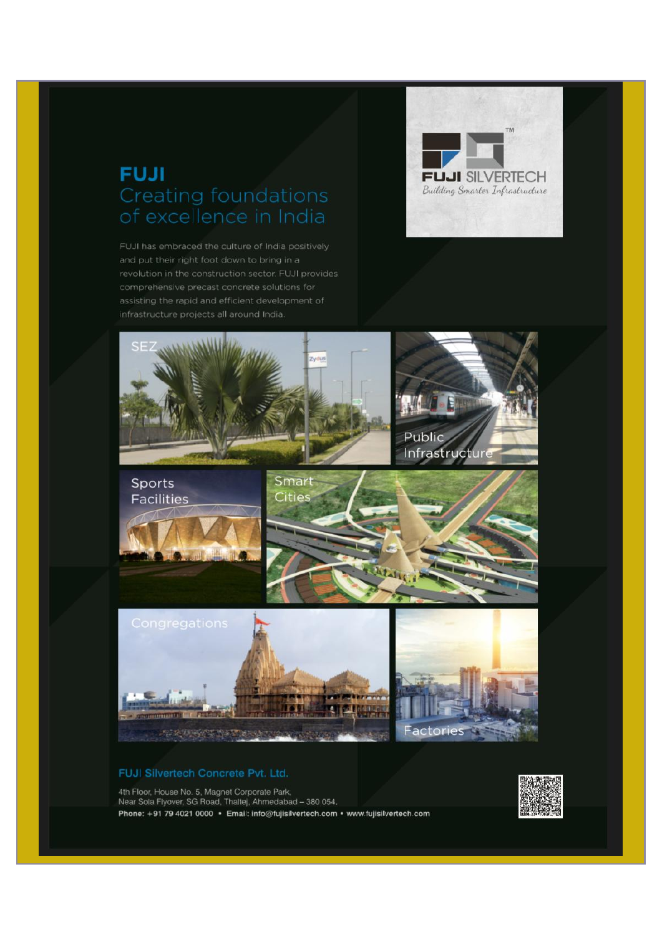# **FUJI** Creating foundations of excellence in India

FUJI has embraced the culture of India positively and put their right foot down to bring in a comprehensive precast concrete solutions for infrastructure projects all around India.





#### FUJI Silvertech Concrete Pvt. Ltd.

4th Floor, House No. 5, Magnet Corporate Park, Near Sola Flyover, SG Road, Thaltei, Ahmedabad - 380 054, Phone: +91 79 4021 0000 · Email: info@fujisilvertech.com · www.fujisilvertech.com